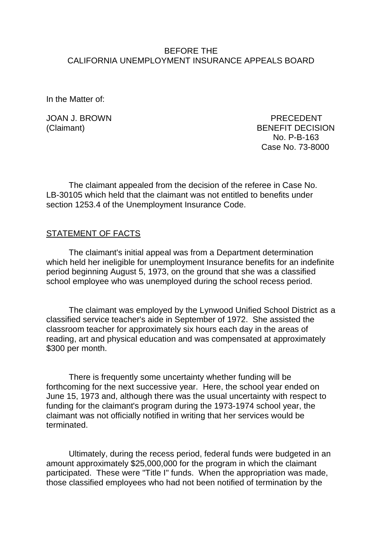### BEFORE THE CALIFORNIA UNEMPLOYMENT INSURANCE APPEALS BOARD

In the Matter of:

JOAN J. BROWN PRECEDENT (Claimant) BENEFIT DECISION No. P-B-163 Case No. 73-8000

The claimant appealed from the decision of the referee in Case No. LB-30105 which held that the claimant was not entitled to benefits under section 1253.4 of the Unemployment Insurance Code.

### STATEMENT OF FACTS

The claimant's initial appeal was from a Department determination which held her ineligible for unemployment Insurance benefits for an indefinite period beginning August 5, 1973, on the ground that she was a classified school employee who was unemployed during the school recess period.

The claimant was employed by the Lynwood Unified School District as a classified service teacher's aide in September of 1972. She assisted the classroom teacher for approximately six hours each day in the areas of reading, art and physical education and was compensated at approximately \$300 per month.

There is frequently some uncertainty whether funding will be forthcoming for the next successive year. Here, the school year ended on June 15, 1973 and, although there was the usual uncertainty with respect to funding for the claimant's program during the 1973-1974 school year, the claimant was not officially notified in writing that her services would be terminated.

Ultimately, during the recess period, federal funds were budgeted in an amount approximately \$25,000,000 for the program in which the claimant participated. These were "Title I" funds. When the appropriation was made, those classified employees who had not been notified of termination by the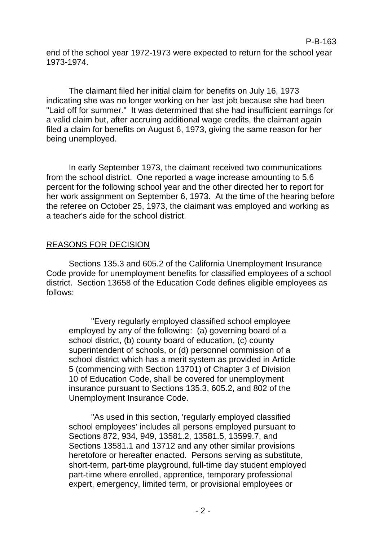end of the school year 1972-1973 were expected to return for the school year 1973-1974.

The claimant filed her initial claim for benefits on July 16, 1973 indicating she was no longer working on her last job because she had been "Laid off for summer." It was determined that she had insufficient earnings for a valid claim but, after accruing additional wage credits, the claimant again filed a claim for benefits on August 6, 1973, giving the same reason for her being unemployed.

In early September 1973, the claimant received two communications from the school district. One reported a wage increase amounting to 5.6 percent for the following school year and the other directed her to report for her work assignment on September 6, 1973. At the time of the hearing before the referee on October 25, 1973, the claimant was employed and working as a teacher's aide for the school district.

# REASONS FOR DECISION

Sections 135.3 and 605.2 of the California Unemployment Insurance Code provide for unemployment benefits for classified employees of a school district. Section 13658 of the Education Code defines eligible employees as follows:

"Every regularly employed classified school employee employed by any of the following: (a) governing board of a school district, (b) county board of education, (c) county superintendent of schools, or (d) personnel commission of a school district which has a merit system as provided in Article 5 (commencing with Section 13701) of Chapter 3 of Division 10 of Education Code, shall be covered for unemployment insurance pursuant to Sections 135.3, 605.2, and 802 of the Unemployment Insurance Code.

"As used in this section, 'regularly employed classified school employees' includes all persons employed pursuant to Sections 872, 934, 949, 13581.2, 13581.5, 13599.7, and Sections 13581.1 and 13712 and any other similar provisions heretofore or hereafter enacted. Persons serving as substitute, short-term, part-time playground, full-time day student employed part-time where enrolled, apprentice, temporary professional expert, emergency, limited term, or provisional employees or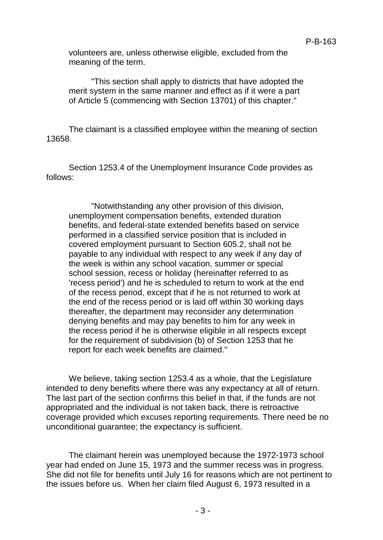volunteers are, unless otherwise eligible, excluded from the meaning of the term.

"This section shall apply to districts that have adopted the merit system in the same manner and effect as if it were a part of Article 5 (commencing with Section 13701) of this chapter."

The claimant is a classified employee within the meaning of section 13658.

Section 1253.4 of the Unemployment Insurance Code provides as follows:

"Notwithstanding any other provision of this division, unemployment compensation benefits, extended duration benefits, and federal-state extended benefits based on service performed in a classified service position that is included in covered employment pursuant to Section 605.2, shall not be payable to any individual with respect to any week if any day of the week is within any school vacation, summer or special school session, recess or holiday (hereinafter referred to as 'recess period') and he is scheduled to return to work at the end of the recess period, except that if he is not returned to work at the end of the recess period or is laid off within 30 working days thereafter, the department may reconsider any determination denying benefits and may pay benefits to him for any week in the recess period if he is otherwise eligible in all respects except for the requirement of subdivision (b) of Section 1253 that he report for each week benefits are claimed."

We believe, taking section 1253.4 as a whole, that the Legislature intended to deny benefits where there was any expectancy at all of return. The last part of the section confirms this belief in that, if the funds are not appropriated and the individual is not taken back, there is retroactive coverage provided which excuses reporting requirements. There need be no unconditional guarantee; the expectancy is sufficient.

The claimant herein was unemployed because the 1972-1973 school year had ended on June 15, 1973 and the summer recess was in progress. She did not file for benefits until July 16 for reasons which are not pertinent to the issues before us. When her claim filed August 6, 1973 resulted in a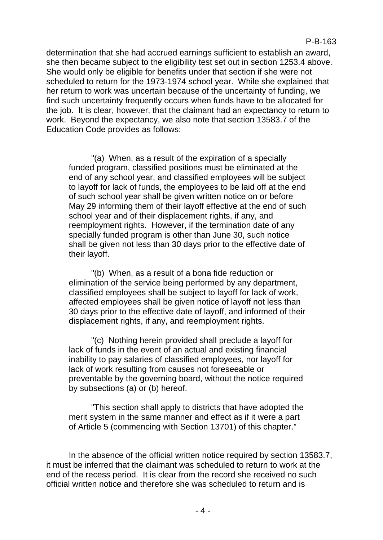determination that she had accrued earnings sufficient to establish an award, she then became subject to the eligibility test set out in section 1253.4 above. She would only be eligible for benefits under that section if she were not scheduled to return for the 1973-1974 school year. While she explained that her return to work was uncertain because of the uncertainty of funding, we find such uncertainty frequently occurs when funds have to be allocated for the job. It is clear, however, that the claimant had an expectancy to return to work. Beyond the expectancy, we also note that section 13583.7 of the Education Code provides as follows:

"(a) When, as a result of the expiration of a specially funded program, classified positions must be eliminated at the end of any school year, and classified employees will be subject to layoff for lack of funds, the employees to be laid off at the end of such school year shall be given written notice on or before May 29 informing them of their layoff effective at the end of such school year and of their displacement rights, if any, and reemployment rights. However, if the termination date of any specially funded program is other than June 30, such notice shall be given not less than 30 days prior to the effective date of their layoff.

"(b) When, as a result of a bona fide reduction or elimination of the service being performed by any department, classified employees shall be subject to layoff for lack of work, affected employees shall be given notice of layoff not less than 30 days prior to the effective date of layoff, and informed of their displacement rights, if any, and reemployment rights.

"(c) Nothing herein provided shall preclude a layoff for lack of funds in the event of an actual and existing financial inability to pay salaries of classified employees, nor layoff for lack of work resulting from causes not foreseeable or preventable by the governing board, without the notice required by subsections (a) or (b) hereof.

"This section shall apply to districts that have adopted the merit system in the same manner and effect as if it were a part of Article 5 (commencing with Section 13701) of this chapter."

In the absence of the official written notice required by section 13583.7, it must be inferred that the claimant was scheduled to return to work at the end of the recess period. It is clear from the record she received no such official written notice and therefore she was scheduled to return and is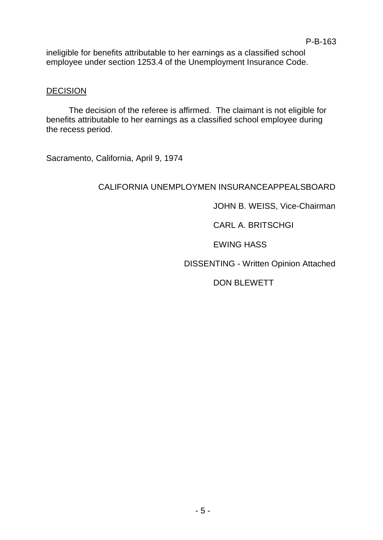ineligible for benefits attributable to her earnings as a classified school employee under section 1253.4 of the Unemployment Insurance Code.

### **DECISION**

The decision of the referee is affirmed. The claimant is not eligible for benefits attributable to her earnings as a classified school employee during the recess period.

Sacramento, California, April 9, 1974

# CALIFORNIA UNEMPLOYMEN INSURANCEAPPEALSBOARD

JOHN B. WEISS, Vice-Chairman

CARL A. BRITSCHGI

EWING HASS

DISSENTING - Written Opinion Attached

DON BLEWETT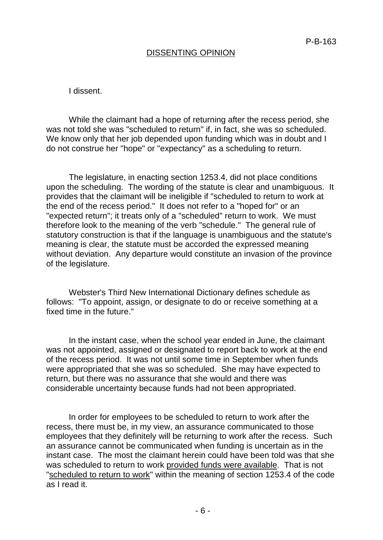# DISSENTING OPINION

I dissent.

While the claimant had a hope of returning after the recess period, she was not told she was "scheduled to return" if, in fact, she was so scheduled. We know only that her job depended upon funding which was in doubt and I do not construe her "hope" or "expectancy" as a scheduling to return.

The legislature, in enacting section 1253.4, did not place conditions upon the scheduling. The wording of the statute is clear and unambiguous. It provides that the claimant will be ineligible if "scheduled to return to work at the end of the recess period." It does not refer to a "hoped for" or an "expected return"; it treats only of a "scheduled" return to work. We must therefore look to the meaning of the verb "schedule." The general rule of statutory construction is that if the language is unambiguous and the statute's meaning is clear, the statute must be accorded the expressed meaning without deviation. Any departure would constitute an invasion of the province of the legislature.

Webster's Third New International Dictionary defines schedule as follows: "To appoint, assign, or designate to do or receive something at a fixed time in the future."

In the instant case, when the school year ended in June, the claimant was not appointed, assigned or designated to report back to work at the end of the recess period. It was not until some time in September when funds were appropriated that she was so scheduled. She may have expected to return, but there was no assurance that she would and there was considerable uncertainty because funds had not been appropriated.

In order for employees to be scheduled to return to work after the recess, there must be, in my view, an assurance communicated to those employees that they definitely will be returning to work after the recess. Such an assurance cannot be communicated when funding is uncertain as in the instant case. The most the claimant herein could have been told was that she was scheduled to return to work provided funds were available. That is not "scheduled to return to work" within the meaning of section 1253.4 of the code as I read it.